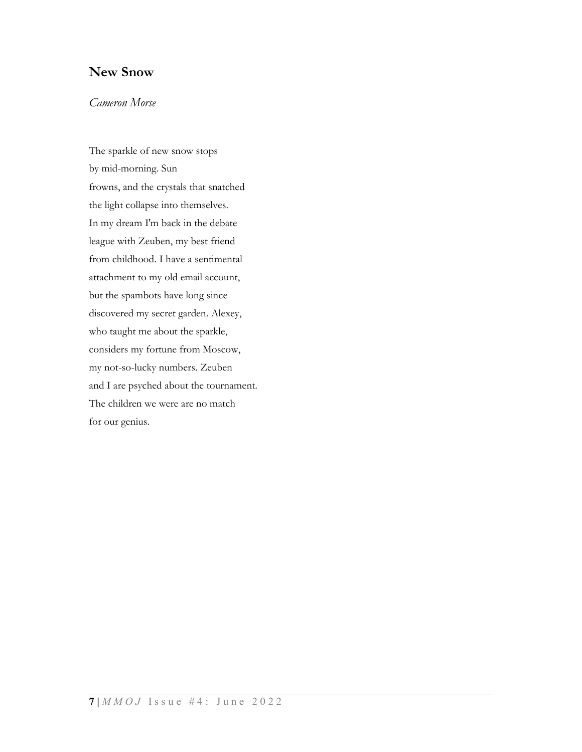### New Snow

#### Cameron Morse

The sparkle of new snow stops by mid-morning. Sun frowns, and the crystals that snatched the light collapse into themselves. In my dream I'm back in the debate league with Zeuben, my best friend from childhood. I have a sentimental attachment to my old email account, but the spambots have long since discovered my secret garden. Alexey, who taught me about the sparkle, considers my fortune from Moscow, my not-so-lucky numbers. Zeuben and I are psyched about the tournament. The children we were are no match for our genius.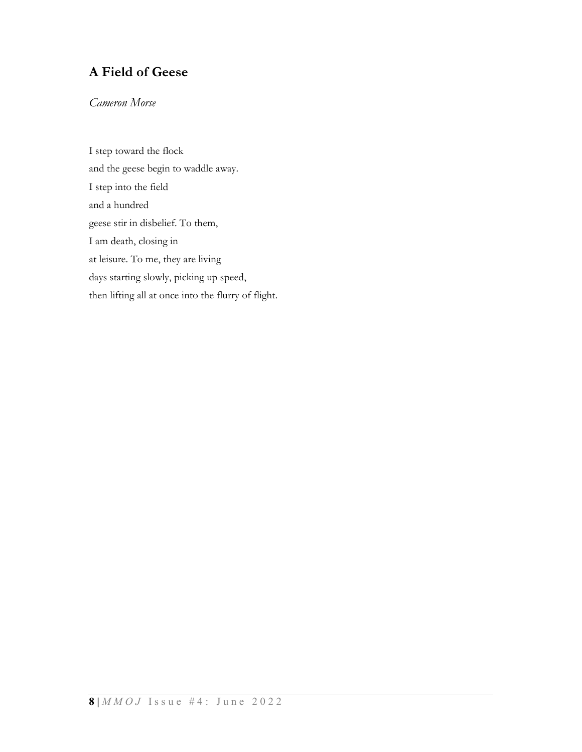# A Field of Geese

### Cameron Morse

I step toward the flock and the geese begin to waddle away. I step into the field and a hundred geese stir in disbelief. To them, I am death, closing in at leisure. To me, they are living days starting slowly, picking up speed, then lifting all at once into the flurry of flight.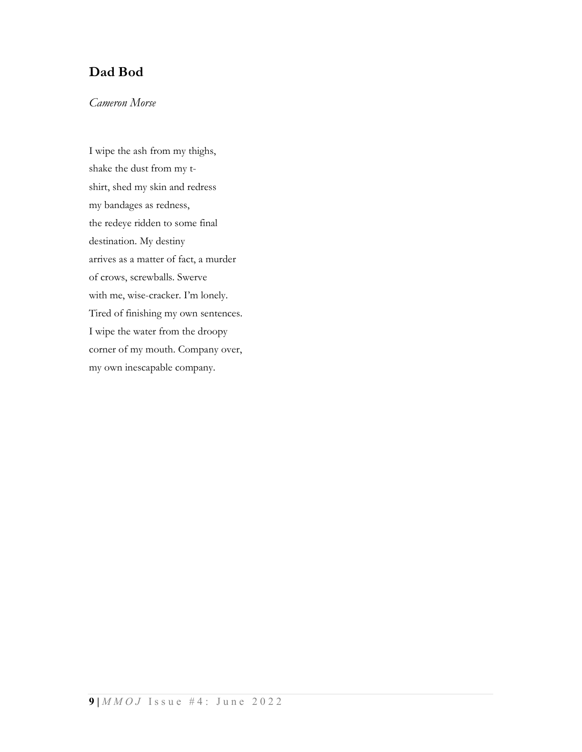## Dad Bod

### Cameron Morse

I wipe the ash from my thighs, shake the dust from my tshirt, shed my skin and redress my bandages as redness, the redeye ridden to some final destination. My destiny arrives as a matter of fact, a murder of crows, screwballs. Swerve with me, wise-cracker. I'm lonely. Tired of finishing my own sentences. I wipe the water from the droopy corner of my mouth. Company over, my own inescapable company.